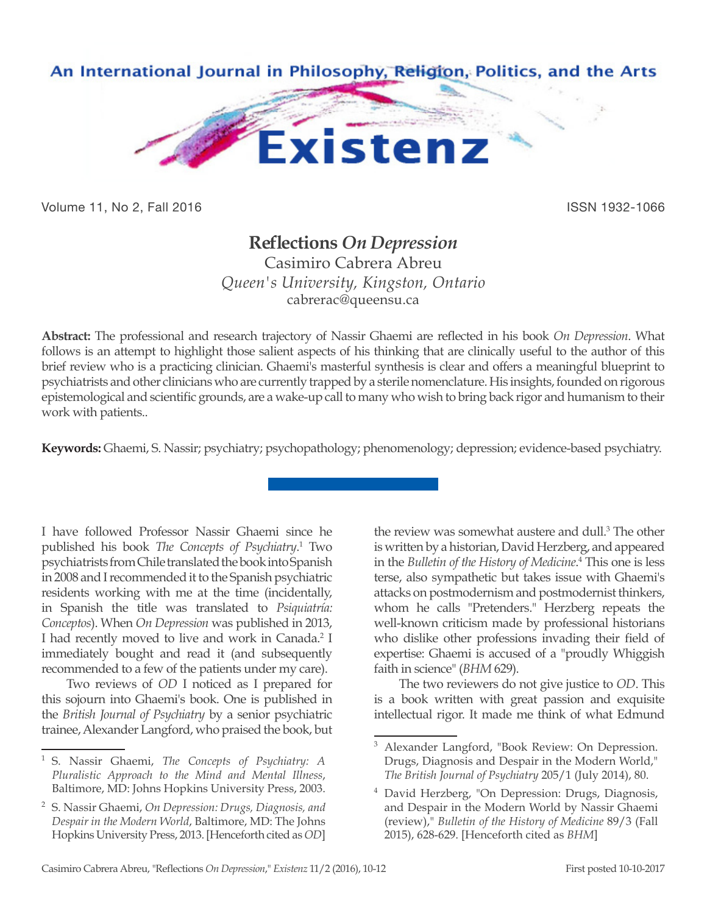

Volume 11, No 2, Fall 2016 ISSN 1932-1066

## **Reflections** *On Depression*

Casimiro Cabrera Abreu *Queen's University, Kingston, Ontario* cabrerac@queensu.ca

**Abstract:** The professional and research trajectory of Nassir Ghaemi are reflected in his book *On Depression*. What follows is an attempt to highlight those salient aspects of his thinking that are clinically useful to the author of this brief review who is a practicing clinician. Ghaemi's masterful synthesis is clear and offers a meaningful blueprint to psychiatrists and other clinicians who are currently trapped by a sterile nomenclature. His insights, founded on rigorous epistemological and scientific grounds, are a wake-up call to many who wish to bring back rigor and humanism to their work with patients..

**Keywords:** Ghaemi, S. Nassir; psychiatry; psychopathology; phenomenology; depression; evidence-based psychiatry.

I have followed Professor Nassir Ghaemi since he published his book *The Concepts of Psychiatry*. 1 Two psychiatrists from Chile translated the book into Spanish in 2008 and I recommended it to the Spanish psychiatric residents working with me at the time (incidentally, in Spanish the title was translated to *Psiquiatría: Conceptos*). When *On Depression* was published in 2013, I had recently moved to live and work in Canada.<sup>2</sup> I immediately bought and read it (and subsequently recommended to a few of the patients under my care).

Two reviews of *OD* I noticed as I prepared for this sojourn into Ghaemi's book. One is published in the *British Journal of Psychiatry* by a senior psychiatric trainee, Alexander Langford, who praised the book, but

the review was somewhat austere and dull.<sup>3</sup> The other is written by a historian, David Herzberg, and appeared in the *Bulletin of the History of Medicine*. 4 This one is less terse, also sympathetic but takes issue with Ghaemi's attacks on postmodernism and postmodernist thinkers, whom he calls "Pretenders." Herzberg repeats the well-known criticism made by professional historians who dislike other professions invading their field of expertise: Ghaemi is accused of a "proudly Whiggish faith in science" (*BHM* 629).

The two reviewers do not give justice to *OD*. This is a book written with great passion and exquisite intellectual rigor. It made me think of what Edmund

<sup>1</sup> S. Nassir Ghaemi, *The Concepts of Psychiatry: A Pluralistic Approach to the Mind and Mental Illness*, Baltimore, MD: Johns Hopkins University Press, 2003.

<sup>2</sup> S. Nassir Ghaemi, *On Depression: Drugs, Diagnosis, and Despair in the Modern World*, Baltimore, MD: The Johns Hopkins University Press, 2013. [Henceforth cited as *OD*]

<sup>3</sup> Alexander Langford, "Book Review: On Depression. Drugs, Diagnosis and Despair in the Modern World," *The British Journal of Psychiatry* 205/1 (July 2014), 80.

<sup>4</sup> David Herzberg, "On Depression: Drugs, Diagnosis, and Despair in the Modern World by Nassir Ghaemi (review)," *Bulletin of the History of Medicine* 89/3 (Fall 2015), 628-629. [Henceforth cited as *BHM*]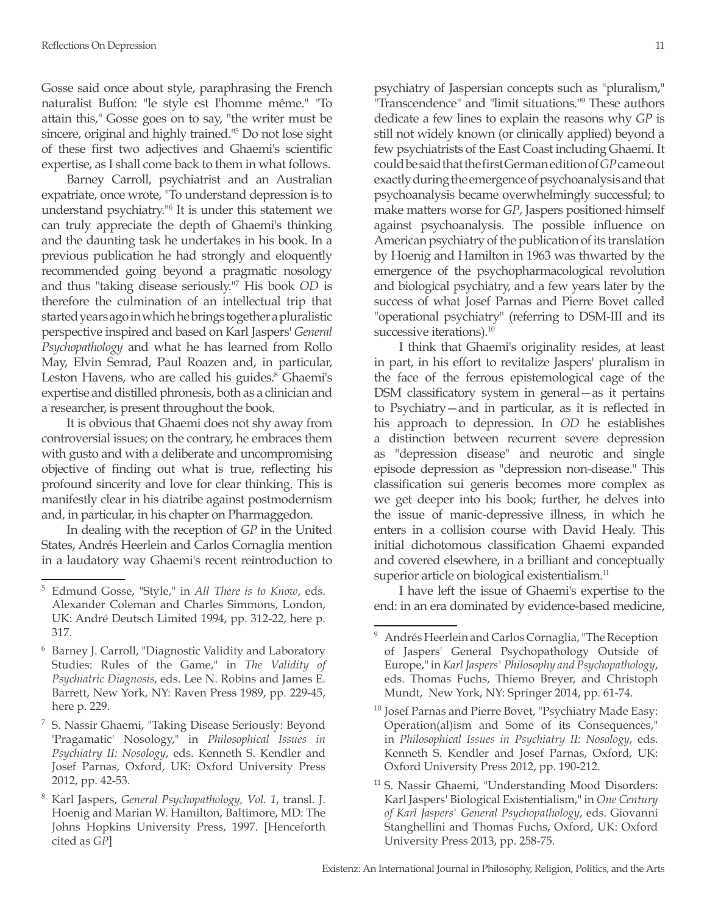Gosse said once about style, paraphrasing the French naturalist Buffon: "le style est l'homme même." "To attain this," Gosse goes on to say, "the writer must be sincere, original and highly trained."5 Do not lose sight of these first two adjectives and Ghaemi's scientific expertise, as I shall come back to them in what follows.

Barney Carroll, psychiatrist and an Australian expatriate, once wrote, "To understand depression is to understand psychiatry."6 It is under this statement we can truly appreciate the depth of Ghaemi's thinking and the daunting task he undertakes in his book. In a previous publication he had strongly and eloquently recommended going beyond a pragmatic nosology and thus "taking disease seriously."7 His book *OD* is therefore the culmination of an intellectual trip that started years ago in which he brings together a pluralistic perspective inspired and based on Karl Jaspers' *General Psychopathology* and what he has learned from Rollo May, Elvin Semrad, Paul Roazen and, in particular, Leston Havens, who are called his guides.<sup>8</sup> Ghaemi's expertise and distilled phronesis, both as a clinician and a researcher, is present throughout the book.

It is obvious that Ghaemi does not shy away from controversial issues; on the contrary, he embraces them with gusto and with a deliberate and uncompromising objective of finding out what is true, reflecting his profound sincerity and love for clear thinking. This is manifestly clear in his diatribe against postmodernism and, in particular, in his chapter on Pharmaggedon.

In dealing with the reception of *GP* in the United States, Andrés Heerlein and Carlos Cornaglia mention in a laudatory way Ghaemi's recent reintroduction to psychiatry of Jaspersian concepts such as "pluralism," "Transcendence" and "limit situations."9 These authors dedicate a few lines to explain the reasons why *GP* is still not widely known (or clinically applied) beyond a few psychiatrists of the East Coast including Ghaemi. It could be said that the first German edition of *GP* came out exactly during the emergence of psychoanalysis and that psychoanalysis became overwhelmingly successful; to make matters worse for *GP*, Jaspers positioned himself against psychoanalysis. The possible influence on American psychiatry of the publication of its translation by Hoenig and Hamilton in 1963 was thwarted by the emergence of the psychopharmacological revolution and biological psychiatry, and a few years later by the success of what Josef Parnas and Pierre Bovet called "operational psychiatry" (referring to DSM-III and its successive iterations).<sup>10</sup>

I think that Ghaemi's originality resides, at least in part, in his effort to revitalize Jaspers' pluralism in the face of the ferrous epistemological cage of the DSM classificatory system in general—as it pertains to Psychiatry—and in particular, as it is reflected in his approach to depression. In *OD* he establishes a distinction between recurrent severe depression as "depression disease" and neurotic and single episode depression as "depression non-disease." This classification sui generis becomes more complex as we get deeper into his book; further, he delves into the issue of manic-depressive illness, in which he enters in a collision course with David Healy. This initial dichotomous classification Ghaemi expanded and covered elsewhere, in a brilliant and conceptually superior article on biological existentialism.<sup>11</sup>

I have left the issue of Ghaemi's expertise to the end: in an era dominated by evidence-based medicine,

<sup>5</sup> Edmund Gosse, "Style," in *All There is to Know*, eds. Alexander Coleman and Charles Simmons, London, UK: André Deutsch Limited 1994, pp. 312-22, here p. 317.

<sup>6</sup> Barney J. Carroll, "Diagnostic Validity and Laboratory Studies: Rules of the Game," in *The Validity of Psychiatric Diagnosis*, eds. Lee N. Robins and James E. Barrett, New York, NY: Raven Press 1989, pp. 229-45, here p. 229.

<sup>7</sup> S. Nassir Ghaemi, "Taking Disease Seriously: Beyond 'Pragamatic' Nosology," in *Philosophical Issues in Psychiatry II: Nosology*, eds. Kenneth S. Kendler and Josef Parnas, Oxford, UK: Oxford University Press 2012, pp. 42-53.

<sup>8</sup> Karl Jaspers, *General Psychopathology, Vol. 1*, transl. J. Hoenig and Marian W. Hamilton, Baltimore, MD: The Johns Hopkins University Press, 1997. [Henceforth cited as *GP*]

<sup>&</sup>lt;sup>9</sup> Andrés Heerlein and Carlos Cornaglia, "The Reception of Jaspers' General Psychopathology Outside of Europe," in *Karl Jaspers' Philosophy and Psychopathology*, eds. Thomas Fuchs, Thiemo Breyer, and Christoph Mundt, New York, NY: Springer 2014, pp. 61-74.

<sup>&</sup>lt;sup>10</sup> Josef Parnas and Pierre Bovet, "Psychiatry Made Easy: Operation(al)ism and Some of its Consequences," in *Philosophical Issues in Psychiatry II: Nosology*, eds. Kenneth S. Kendler and Josef Parnas, Oxford, UK: Oxford University Press 2012, pp. 190-212.

<sup>&</sup>lt;sup>11</sup> S. Nassir Ghaemi, "Understanding Mood Disorders: Karl Jaspers' Biological Existentialism," in *One Century of Karl Jaspers' General Psychopathology*, eds. Giovanni Stanghellini and Thomas Fuchs, Oxford, UK: Oxford University Press 2013, pp. 258-75.